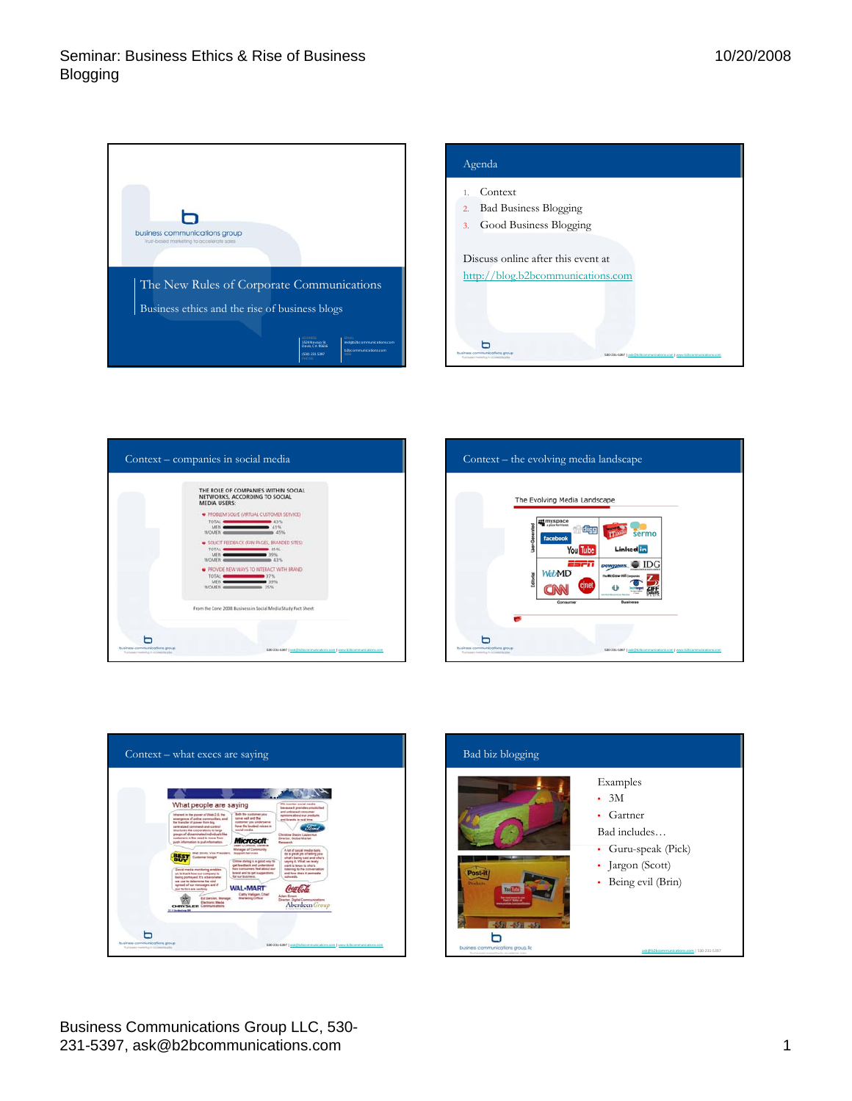